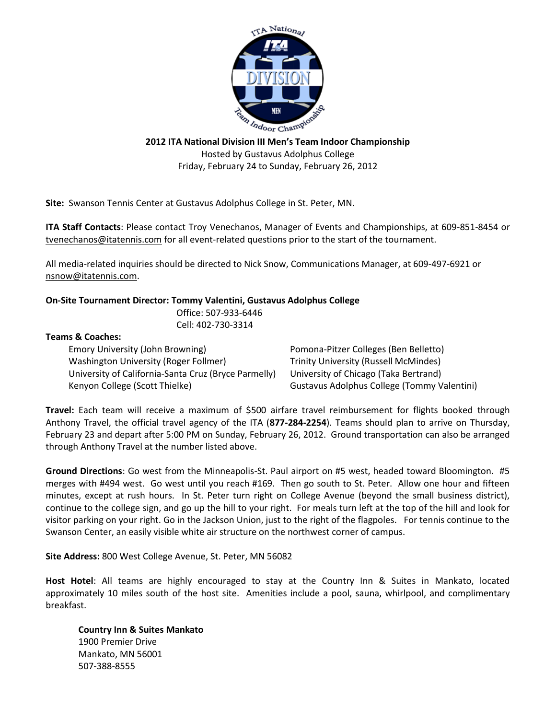

**2012 ITA National Division III Men's Team Indoor Championship** Hosted by Gustavus Adolphus College Friday, February 24 to Sunday, February 26, 2012

**Site:** Swanson Tennis Center at Gustavus Adolphus College in St. Peter, MN.

**ITA Staff Contacts**: Please contact Troy Venechanos, Manager of Events and Championships, at 609-851-8454 or tvenechanos@itatennis.com for all event-related questions prior to the start of the tournament.

All media-related inquiries should be directed to Nick Snow, Communications Manager, at 609-497-6921 or nsnow@itatennis.com.

## **On-Site Tournament Director: Tommy Valentini, Gustavus Adolphus College**

Office: 507-933-6446 Cell: 402-730-3314

## **Teams & Coaches:**

Emory University (John Browning) Pomona-Pitzer Colleges (Ben Belletto) Washington University (Roger Follmer) Trinity University (Russell McMindes) University of California-Santa Cruz (Bryce Parmelly) University of Chicago (Taka Bertrand) Kenyon College (Scott Thielke) Gustavus Adolphus College (Tommy Valentini)

**Travel:** Each team will receive a maximum of \$500 airfare travel reimbursement for flights booked through Anthony Travel, the official travel agency of the ITA (**877-284-2254**). Teams should plan to arrive on Thursday, February 23 and depart after 5:00 PM on Sunday, February 26, 2012. Ground transportation can also be arranged through Anthony Travel at the number listed above.

**Ground Directions**: Go west from the Minneapolis-St. Paul airport on #5 west, headed toward Bloomington. #5 merges with #494 west. Go west until you reach #169. Then go south to St. Peter. Allow one hour and fifteen minutes, except at rush hours. In St. Peter turn right on College Avenue (beyond the small business district), continue to the college sign, and go up the hill to your right. For meals turn left at the top of the hill and look for visitor parking on your right. Go in the Jackson Union, just to the right of the flagpoles. For tennis continue to the Swanson Center, an easily visible white air structure on the northwest corner of campus.

**Site Address:** 800 West College Avenue, St. Peter, MN 56082

**Host Hotel**: All teams are highly encouraged to stay at the Country Inn & Suites in Mankato, located approximately 10 miles south of the host site. Amenities include a pool, sauna, whirlpool, and complimentary breakfast.

**Country Inn & Suites Mankato**  1900 Premier Drive Mankato, MN 56001 507-388-8555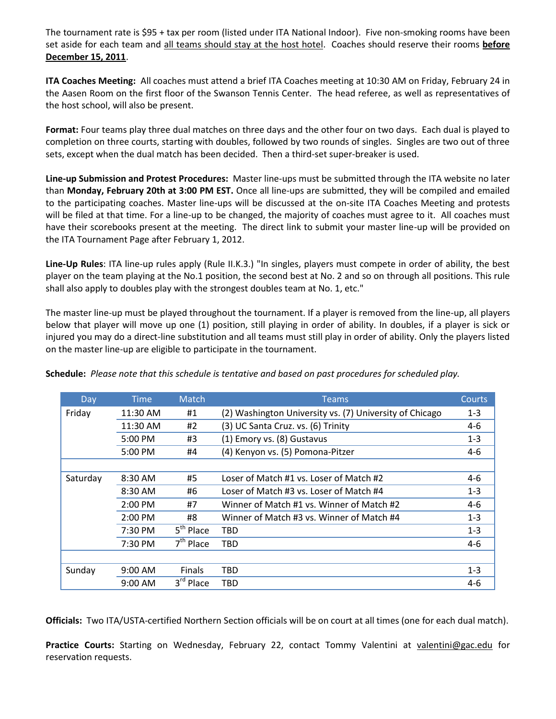The tournament rate is \$95 + tax per room (listed under ITA National Indoor). Five non-smoking rooms have been set aside for each team and all teams should stay at the host hotel. Coaches should reserve their rooms **before December 15, 2011**.

**ITA Coaches Meeting:** All coaches must attend a brief ITA Coaches meeting at 10:30 AM on Friday, February 24 in the Aasen Room on the first floor of the Swanson Tennis Center. The head referee, as well as representatives of the host school, will also be present.

**Format:** Four teams play three dual matches on three days and the other four on two days. Each dual is played to completion on three courts, starting with doubles, followed by two rounds of singles. Singles are two out of three sets, except when the dual match has been decided. Then a third-set super-breaker is used.

**Line-up Submission and Protest Procedures:** Master line-ups must be submitted through the ITA website no later than **Monday, February 20th at 3:00 PM EST.** Once all line-ups are submitted, they will be compiled and emailed to the participating coaches. Master line-ups will be discussed at the on-site ITA Coaches Meeting and protests will be filed at that time. For a line-up to be changed, the majority of coaches must agree to it. All coaches must have their scorebooks present at the meeting. The direct link to submit your master line-up will be provided on the ITA Tournament Page after February 1, 2012.

**Line-Up Rules**: ITA line-up rules apply (Rule II.K.3.) "In singles, players must compete in order of ability, the best player on the team playing at the No.1 position, the second best at No. 2 and so on through all positions. This rule shall also apply to doubles play with the strongest doubles team at No. 1, etc."

The master line-up must be played throughout the tournament. If a player is removed from the line-up, all players below that player will move up one (1) position, still playing in order of ability. In doubles, if a player is sick or injured you may do a direct-line substitution and all teams must still play in order of ability. Only the players listed on the master line-up are eligible to participate in the tournament.

| Day      | <b>Time</b> | Match                 | Teams                                                   | Courts  |
|----------|-------------|-----------------------|---------------------------------------------------------|---------|
| Friday   | 11:30 AM    | #1                    | (2) Washington University vs. (7) University of Chicago | $1 - 3$ |
|          | 11:30 AM    | #2                    | (3) UC Santa Cruz. vs. (6) Trinity                      | 4-6     |
|          | $5:00$ PM   | #3                    | (1) Emory vs. (8) Gustavus                              | $1 - 3$ |
|          | 5:00 PM     | #4                    | (4) Kenyon vs. (5) Pomona-Pitzer                        | 4-6     |
|          |             |                       |                                                         |         |
| Saturday | 8:30 AM     | #5                    | Loser of Match #1 vs. Loser of Match #2                 | $4-6$   |
|          | 8:30 AM     | #6                    | Loser of Match #3 vs. Loser of Match #4                 | $1 - 3$ |
|          | 2:00 PM     | #7                    | Winner of Match #1 vs. Winner of Match #2               | 4-6     |
|          | $2:00$ PM   | #8                    | Winner of Match #3 vs. Winner of Match #4               | $1 - 3$ |
|          | $7:30$ PM   | 5 <sup>th</sup> Place | TBD                                                     | $1 - 3$ |
|          | 7:30 PM     | $7th$ Place           | TBD                                                     | 4-6     |
|          |             |                       |                                                         |         |
| Sunday   | $9:00$ AM   | <b>Finals</b>         | TBD                                                     | $1 - 3$ |
|          | 9:00 AM     | 3rd Place             | TBD                                                     | 4-6     |

**Schedule:** *Please note that this schedule is tentative and based on past procedures for scheduled play.*

**Officials:** Two ITA/USTA-certified Northern Section officials will be on court at all times (one for each dual match).

**Practice Courts:** Starting on Wednesday, February 22, contact Tommy Valentini at [valentini@gac.edu](mailto:valentini@gac.edu) for reservation requests.